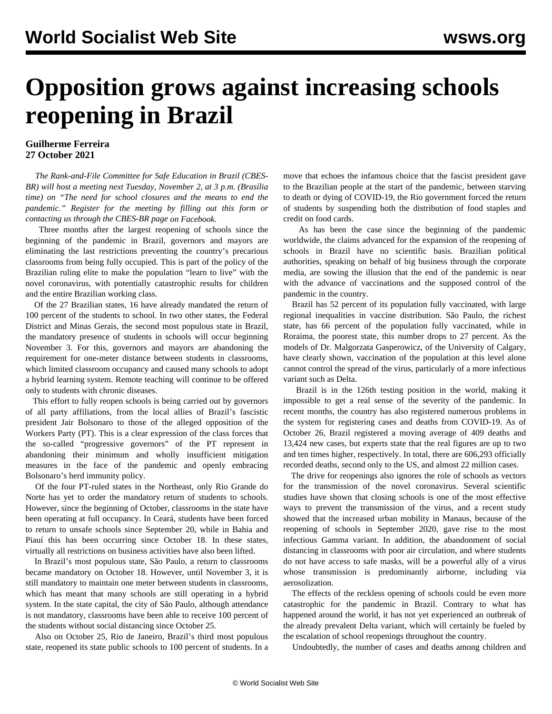## **Opposition grows against increasing schools reopening in Brazil**

## **Guilherme Ferreira 27 October 2021**

 *The Rank-and-File Committee for Safe Education in Brazil (CBES-BR) will host a meeting next Tuesday, November 2, at 3 p.m. (Brasília time) on "The need for school closures and the means to end the pandemic." Register for the meeting by filling out this [form](https://register.gotowebinar.com/register/9172578316836984843) or contacting us through the [CBES-BR page](https://www.facebook.com/CBESBR/) on Facebook.*

 Three months after the largest reopening of schools since the beginning of the pandemic in Brazil, governors and mayors are eliminating the last restrictions preventing the country's precarious classrooms from being fully occupied. This is part of the policy of the Brazilian ruling elite to make the population "learn to live" with the novel coronavirus, with potentially catastrophic results for children and the entire Brazilian working class.

 Of the 27 Brazilian states, 16 have already mandated the return of 100 percent of the students to school. In two other states, the Federal District and Minas Gerais, the second most populous state in Brazil, the mandatory presence of students in schools will occur beginning November 3. For this, governors and mayors are abandoning the requirement for one-meter distance between students in classrooms, which limited classroom occupancy and caused many schools to adopt a hybrid learning system. Remote teaching will continue to be offered only to students with chronic diseases.

 This effort to fully reopen schools is being carried out by governors of all party affiliations, from the local allies of Brazil's fascistic president Jair Bolsonaro to those of the alleged opposition of the Workers Party (PT). This is a clear expression of the class forces that the so-called "progressive governors" of the PT represent in abandoning their minimum and wholly insufficient mitigation measures in the face of the pandemic and openly embracing Bolsonaro's herd immunity policy.

 Of the four PT-ruled states in the Northeast, only Rio Grande do Norte has yet to order the mandatory return of students to schools. However, since the beginning of October, classrooms in the state have been operating at full occupancy. In Ceará, students have been forced to return to unsafe schools since September 20, while in Bahia and Piauí this has been occurring since October 18. In these states, virtually all restrictions on business activities have also been lifted.

 In Brazil's most populous state, São Paulo, a return to classrooms became mandatory on October 18. However, until November 3, it is still mandatory to maintain one meter between students in classrooms, which has meant that many schools are still operating in a hybrid system. In the state capital, the city of São Paulo, although attendance is not mandatory, classrooms have been able to receive 100 percent of the students without social distancing since October 25.

 Also on October 25, Rio de Janeiro, Brazil's third most populous state, reopened its state public schools to 100 percent of students. In a move that echoes the infamous choice that the fascist president gave to the Brazilian people at the start of the pandemic, between starving to death or dying of COVID-19, the Rio government forced the return of students by suspending both the distribution of food staples and credit on food cards.

 As has been the case since the beginning of the pandemic worldwide, the claims advanced for the expansion of the reopening of schools in Brazil have no scientific basis. Brazilian political authorities, speaking on behalf of big business through the corporate media, are sowing the illusion that the end of the pandemic is near with the advance of vaccinations and the supposed control of the pandemic in the country.

 Brazil has 52 percent of its population fully vaccinated, with large regional inequalities in vaccine distribution. São Paulo, the richest state, has 66 percent of the population fully vaccinated, while in Roraima, the poorest state, this number drops to 27 percent. As the models of Dr. Malgorzata Gasperowicz, of the University of Calgary, have clearly shown, vaccination of the population at this level alone cannot control the spread of the virus, particularly of a more infectious variant such as Delta.

 Brazil is in the 126th testing position in the world, making it impossible to get a real sense of the severity of the pandemic. In recent months, the country has also registered numerous problems in the system for registering cases and deaths from COVID-19. As of October 26, Brazil registered a moving average of 409 deaths and 13,424 new cases, but experts state that the real figures are up to two and ten times higher, respectively. In total, there are 606,293 officially recorded deaths, second only to the US, and almost 22 million cases.

 The drive for reopenings also ignores the role of schools as vectors for the transmission of the novel coronavirus. Several scientific studies have shown that closing schools is one of the most effective ways to prevent the transmission of the virus, and a recent study showed that the increased urban mobility in Manaus, because of the reopening of schools in September 2020, gave rise to the most infectious Gamma variant. In addition, the abandonment of social distancing in classrooms with poor air circulation, and where students do not have access to safe masks, will be a powerful ally of a virus whose transmission is predominantly airborne, including via aerosolization.

 The effects of the reckless opening of schools could be even more catastrophic for the pandemic in Brazil. Contrary to what has happened around the world, it has not yet experienced an outbreak of the already prevalent Delta variant, which will certainly be fueled by the escalation of school reopenings throughout the country.

Undoubtedly, the number of cases and deaths among children and